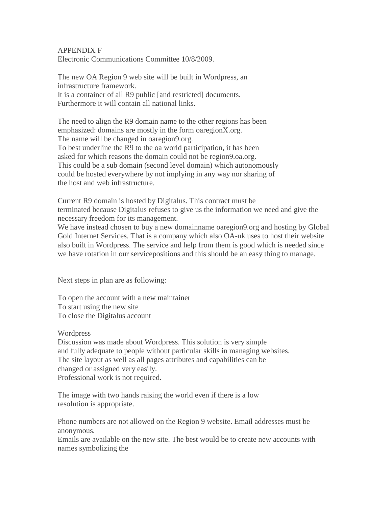## APPENDIX F

Electronic Communications Committee 10/8/2009.

The new OA Region 9 web site will be built in Wordpress, an infrastructure framework. It is a container of all R9 public [and restricted] documents. Furthermore it will contain all national links.

The need to align the R9 domain name to the other regions has been emphasized: domains are mostly in the form oaregionX.org. The name will be changed in oaregion9.org. To best underline the R9 to the oa world participation, it has been asked for which reasons the domain could not be region9.oa.org. This could be a sub domain (second level domain) which autonomously could be hosted everywhere by not implying in any way nor sharing of the host and web infrastructure.

Current R9 domain is hosted by Digitalus. This contract must be terminated because Digitalus refuses to give us the information we need and give the necessary freedom for its management.

We have instead chosen to buy a new domainname oaregion9.org and hosting by Global Gold Internet Services. That is a company which also OA-uk uses to host their website also built in Wordpress. The service and help from them is good which is needed since we have rotation in our servicepositions and this should be an easy thing to manage.

Next steps in plan are as following:

To open the account with a new maintainer To start using the new site To close the Digitalus account

**Wordpress** 

Discussion was made about Wordpress. This solution is very simple and fully adequate to people without particular skills in managing websites. The site layout as well as all pages attributes and capabilities can be changed or assigned very easily. Professional work is not required.

The image with two hands raising the world even if there is a low resolution is appropriate.

Phone numbers are not allowed on the Region 9 website. Email addresses must be anonymous.

Emails are available on the new site. The best would be to create new accounts with names symbolizing the